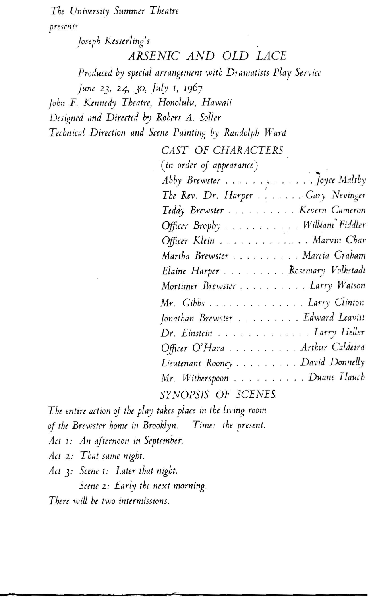*The University Summer Theatre presents* 

*joseph Kesserling's* 

*ARSENIC AND OLD LACE* 

*Produced by special arrangement with Dramatists Play Service* 

*june 23, 24,* JO, *Jul)'* 1, *1967* 

*John F. Kennedy Theatre, Honolulu, Hawaii* 

*Designed and Dimted by Robert A. Soller* 

*Technical Direction and Scene Painting by Randolph Ward* 

| CAST OF CHARACTERS                |
|-----------------------------------|
| $(in \ order \ of \ appearance)$  |
| Abby Brewster Joyce Maltby        |
| The Rev. Dr. Harper Gary Nevinger |
| Teddy Brewster Kevern Cameron     |
| Officer Brophy William Fiddler    |
| Officer Klein Marvin Char         |
| Martha Brewster Marcia Graham     |
| Elaine Harper Rosemary Volkstadt  |
| Mortimer Brewster Larry Watson    |
| Mr. Gibbs Larry Clinton           |
| Jonathan Brewster Edward Leavitt  |
| Dr. Einstein Larry Heller         |
| Officer O'Hara Arthur Caldeira    |
| Lieutenant Rooney David Donnelly  |
| Mr. Witherspoon Duane Hauch       |
|                                   |

*SYNOPSIS OF SCENES* 

The entire action of the play takes place in the living room

of the Brewster home in Brooklyn. Time: the present.

*Act* 1: *An afternoon in September.* 

- *Act* 2: *That same night.*
- *Act*  $3$ : *Scene 1*: *Later that night.*

*Scene* 2: *Early the next morning.* 

*There will be two intermissions.*